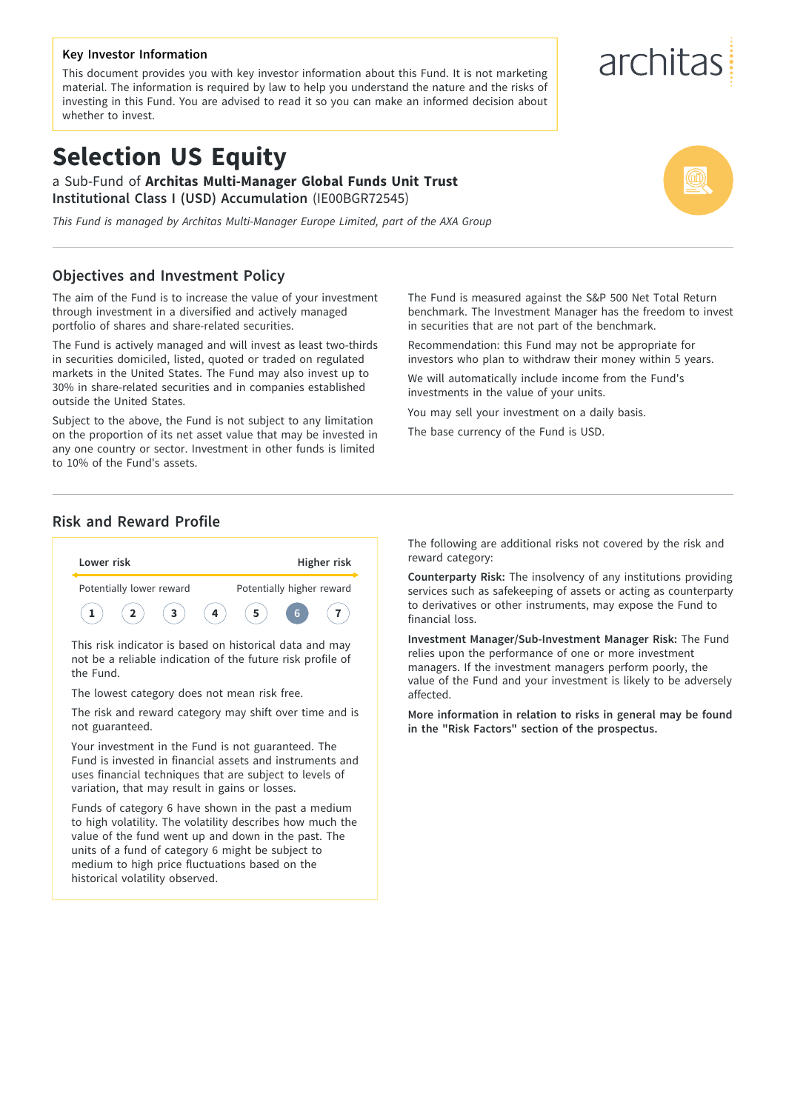## **Key Investor Information**

This document provides you with key investor information about this Fund. It is not marketing material. The information is required by law to help you understand the nature and the risks of investing in this Fund. You are advised to read it so you can make an informed decision about whether to invest.

# **Selection US Equity**

a Sub-Fund of **Architas Multi-Manager Global Funds Unit Trust Institutional Class I (USD) Accumulation** (IE00BGR72545)

*This Fund is managed by Architas Multi-Manager Europe Limited, part of the AXA Group*

## **Objectives and Investment Policy**

The aim of the Fund is to increase the value of your investment through investment in a diversified and actively managed portfolio of shares and share-related securities.

The Fund is actively managed and will invest as least two-thirds in securities domiciled, listed, quoted or traded on regulated markets in the United States. The Fund may also invest up to 30% in share-related securities and in companies established outside the United States.

Subject to the above, the Fund is not subject to any limitation on the proportion of its net asset value that may be invested in any one country or sector. Investment in other funds is limited to 10% of the Fund's assets.

The Fund is measured against the S&P 500 Net Total Return benchmark. The Investment Manager has the freedom to invest in securities that are not part of the benchmark.

Recommendation: this Fund may not be appropriate for investors who plan to withdraw their money within 5 years.

We will automatically include income from the Fund's investments in the value of your units.

You may sell your investment on a daily basis.

The base currency of the Fund is USD.

## **Risk and Reward Profile**



This risk indicator is based on historical data and may not be a reliable indication of the future risk profile of the Fund.

The lowest category does not mean risk free.

The risk and reward category may shift over time and is not guaranteed.

Your investment in the Fund is not guaranteed. The Fund is invested in financial assets and instruments and uses financial techniques that are subject to levels of variation, that may result in gains or losses.

Funds of category 6 have shown in the past a medium to high volatility. The volatility describes how much the value of the fund went up and down in the past. The units of a fund of category 6 might be subject to medium to high price fluctuations based on the historical volatility observed.

The following are additional risks not covered by the risk and reward category:

**Counterparty Risk:** The insolvency of any institutions providing services such as safekeeping of assets or acting as counterparty to derivatives or other instruments, may expose the Fund to financial loss.

**Investment Manager/Sub-Investment Manager Risk:** The Fund relies upon the performance of one or more investment managers. If the investment managers perform poorly, the value of the Fund and your investment is likely to be adversely affected.

**More information in relation to risks in general may be found in the "Risk Factors" section of the prospectus.**